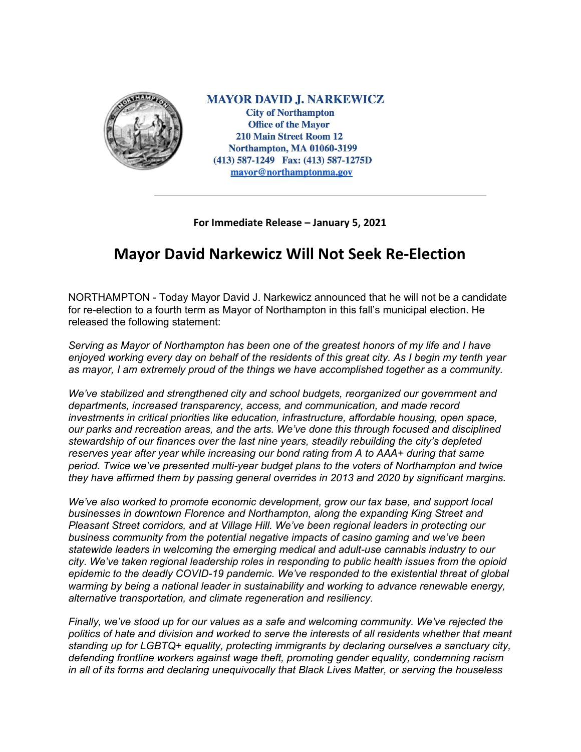

**MAYOR DAVID J. NARKEWICZ City of Northampton Office of the Mayor 210 Main Street Room 12 Northampton, MA 01060-3199** (413) 587-1249 Fax: (413) 587-1275D mayor@northamptonma.gov

## **For Immediate Release – January 5, 2021**

## **Mayor David Narkewicz Will Not Seek Re-Election**

NORTHAMPTON - Today Mayor David J. Narkewicz announced that he will not be a candidate for re-election to a fourth term as Mayor of Northampton in this fall's municipal election. He released the following statement:

*Serving as Mayor of Northampton has been one of the greatest honors of my life and I have* enjoyed working every day on behalf of the residents of this great city. As I begin my tenth year *as mayor, I am extremely proud of the things we have accomplished together as a community.*

*We've stabilized and strengthened city and school budgets, reorganized our government and departments, increased transparency, access, and communication, and made record investments in critical priorities like education, infrastructure, affordable housing, open space, our parks and recreation areas, and the arts. We've done this through focused and disciplined stewardship of our finances over the last nine years, steadily rebuilding the city's depleted reserves year after year while increasing our bond rating from A to AAA+ during that same period. Twice we've presented multi-year budget plans to the voters of Northampton and twice they have affirmed them by passing general overrides in 2013 and 2020 by significant margins.*

*We've also worked to promote economic development, grow our tax base, and support local businesses in downtown Florence and Northampton, along the expanding King Street and Pleasant Street corridors, and at Village Hill. We've been regional leaders in protecting our business community from the potential negative impacts of casino gaming and we've been statewide leaders in welcoming the emerging medical and adult-use cannabis industry to our city. We've taken regional leadership roles in responding to public health issues from the opioid epidemic to the deadly COVID-19 pandemic. We've responded to the existential threat of global warming by being a national leader in sustainability and working to advance renewable energy, alternative transportation, and climate regeneration and resiliency.*

*Finally, we've stood up for our values as a safe and welcoming community. We've rejected the politics of hate and division and worked to serve the interests of all residents whether that meant standing up for LGBTQ+ equality, protecting immigrants by declaring ourselves a sanctuary city, defending frontline workers against wage theft, promoting gender equality, condemning racism in all of its forms and declaring unequivocally that Black Lives Matter, or serving the houseless*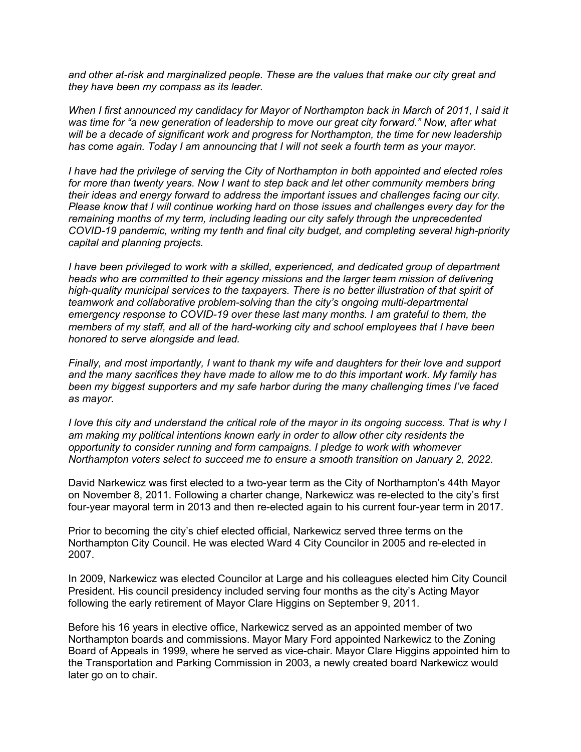*and other at-risk and marginalized people. These are the values that make our city great and they have been my compass as its leader.*

*When I first announced my candidacy for Mayor of Northampton back in March of 2011, I said it was time for "a new generation of leadership to move our great city forward." Now, after what will be a decade of significant work and progress for Northampton, the time for new leadership has come again. Today I am announcing that I will not seek a fourth term as your mayor.*

*I have had the privilege of serving the City of Northampton in both appointed and elected roles for more than twenty years. Now I want to step back and let other community members bring their ideas and energy forward to address the important issues and challenges facing our city. Please know that I will continue working hard on those issues and challenges every day for the remaining months of my term, including leading our city safely through the unprecedented COVID-19 pandemic, writing my tenth and final city budget, and completing several high-priority capital and planning projects.*

*I have been privileged to work with a skilled, experienced, and dedicated group of department heads who are committed to their agency missions and the larger team mission of delivering high-quality municipal services to the taxpayers. There is no better illustration of that spirit of teamwork and collaborative problem-solving than the city's ongoing multi-departmental emergency response to COVID-19 over these last many months. I am grateful to them, the members of my staff, and all of the hard-working city and school employees that I have been honored to serve alongside and lead.*

*Finally, and most importantly, I want to thank my wife and daughters for their love and support and the many sacrifices they have made to allow me to do this important work. My family has been my biggest supporters and my safe harbor during the many challenging times I've faced as mayor.*

I love this city and understand the critical role of the mayor in its ongoing success. That is why I *am making my political intentions known early in order to allow other city residents the opportunity to consider running and form campaigns. I pledge to work with whomever Northampton voters select to succeed me to ensure a smooth transition on January 2, 2022.*

David Narkewicz was first elected to a two-year term as the City of Northampton's 44th Mayor on November 8, 2011. Following a charter change, Narkewicz was re-elected to the city's first four-year mayoral term in 2013 and then re-elected again to his current four-year term in 2017.

Prior to becoming the city's chief elected official, Narkewicz served three terms on the Northampton City Council. He was elected Ward 4 City Councilor in 2005 and re-elected in 2007.

In 2009, Narkewicz was elected Councilor at Large and his colleagues elected him City Council President. His council presidency included serving four months as the city's Acting Mayor following the early retirement of Mayor Clare Higgins on September 9, 2011.

Before his 16 years in elective office, Narkewicz served as an appointed member of two Northampton boards and commissions. Mayor Mary Ford appointed Narkewicz to the Zoning Board of Appeals in 1999, where he served as vice-chair. Mayor Clare Higgins appointed him to the Transportation and Parking Commission in 2003, a newly created board Narkewicz would later go on to chair.